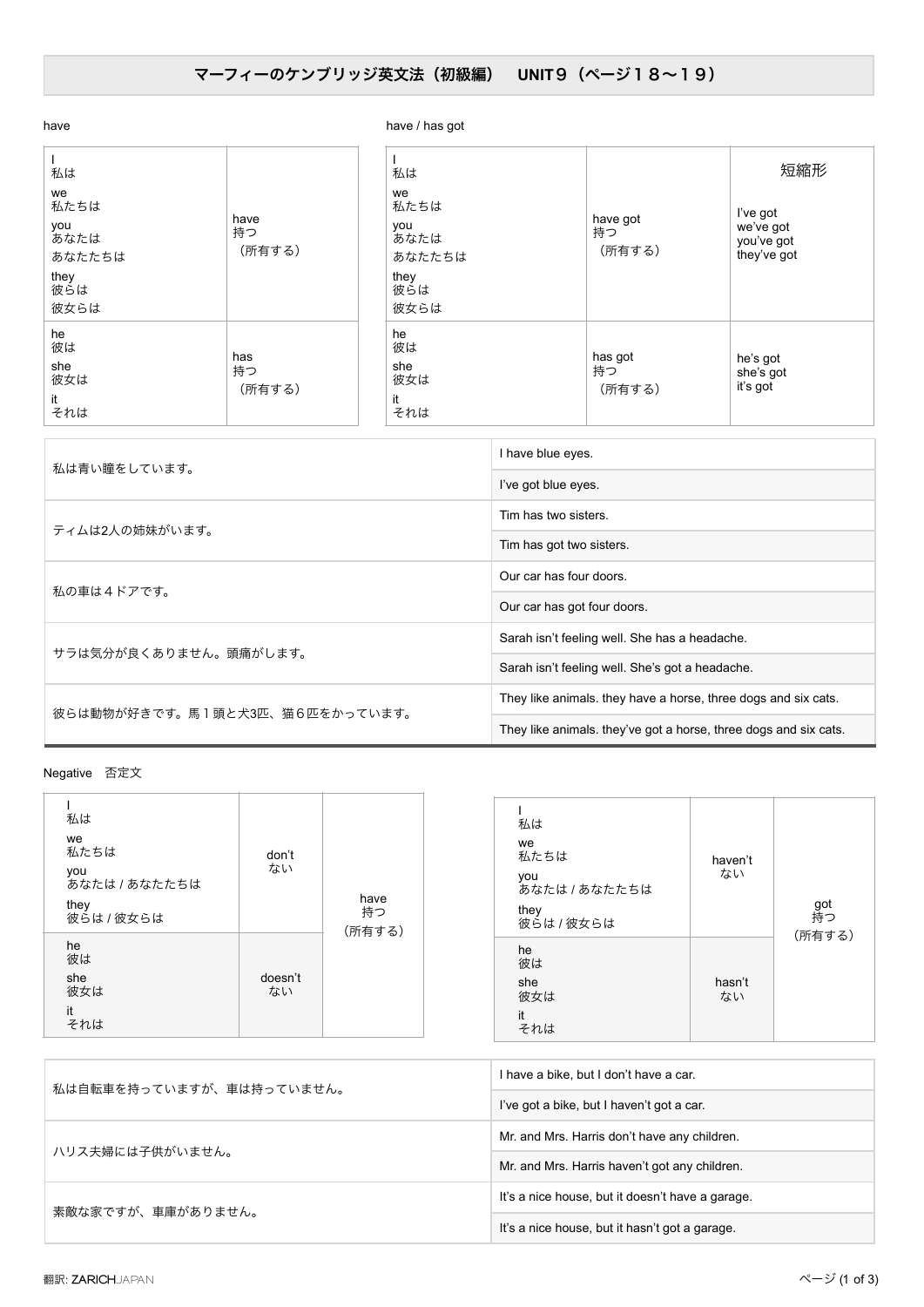## マーフィーのケンブリッジ英文法 (初級編) UNIT9 (ページ18~19)

| have                                                             |                      | have / has got                                                   |                          |                                                           |
|------------------------------------------------------------------|----------------------|------------------------------------------------------------------|--------------------------|-----------------------------------------------------------|
| 私は<br>we<br>私たちは<br>you<br>あなたは<br>あなたたちは<br>they<br>彼らは<br>彼女らは | have<br>持つ<br>(所有する) | 私は<br>we<br>私たちは<br>you<br>あなたは<br>あなたたちは<br>they<br>彼らは<br>彼女らは | have got<br>持つ<br>(所有する) | 短縮形<br>I've got<br>we've got<br>you've got<br>they've got |
| he<br>彼は<br>she<br>彼女は<br>it<br>それは                              | has<br>持つ<br>(所有する)  | he<br>彼は<br>she<br>彼女は<br>it<br>それは                              | has got<br>持つ<br>(所有する)  | he's got<br>she's got<br>it's got                         |

| 私は青い瞳をしています。                   | I have blue eyes.                                                |  |
|--------------------------------|------------------------------------------------------------------|--|
|                                | I've got blue eyes.                                              |  |
| ティムは2人の姉妹がいます。                 | Tim has two sisters.                                             |  |
|                                | Tim has got two sisters.                                         |  |
| 私の車は4ドアです。                     | Our car has four doors.                                          |  |
|                                | Our car has got four doors.                                      |  |
| サラは気分が良くありません。頭痛がします。          | Sarah isn't feeling well. She has a headache.                    |  |
|                                | Sarah isn't feeling well. She's got a headache.                  |  |
| 彼らは動物が好きです。馬1頭と犬3匹、猫6匹をかっています。 | They like animals. they have a horse, three dogs and six cats.   |  |
|                                | They like animals, they've got a horse, three dogs and six cats. |  |

Negativeɹ൱ఆจ

| 私は<br>we<br>私たちは<br>you<br>あなたは / あなたたちは<br>they<br>彼らは / 彼女らは | don't<br>ない   | have<br>持つ<br>(所有する) | 私は<br>we<br>私たちは<br>you<br>あなたは / あなたたちは<br>they<br>彼らは / 彼女らは | haven't<br>ない | got<br>持つ |
|----------------------------------------------------------------|---------------|----------------------|----------------------------------------------------------------|---------------|-----------|
| he<br>彼は<br>she<br>彼女は<br>it<br>それは                            | doesn't<br>ない |                      | he<br>彼は<br>she<br>彼女は<br>it<br>それは                            | hasn't<br>ない  | (所有する)    |

| 私は自転車を持っていますが、車は持っていません。 | I have a bike, but I don't have a car.           |  |
|--------------------------|--------------------------------------------------|--|
|                          | I've got a bike, but I haven't got a car.        |  |
| ハリス夫婦には子供がいません。          | Mr. and Mrs. Harris don't have any children.     |  |
|                          | Mr. and Mrs. Harris haven't got any children.    |  |
| 素敵な家ですが、車庫がありません。        | It's a nice house, but it doesn't have a garage. |  |
|                          | It's a nice house, but it hasn't got a garage.   |  |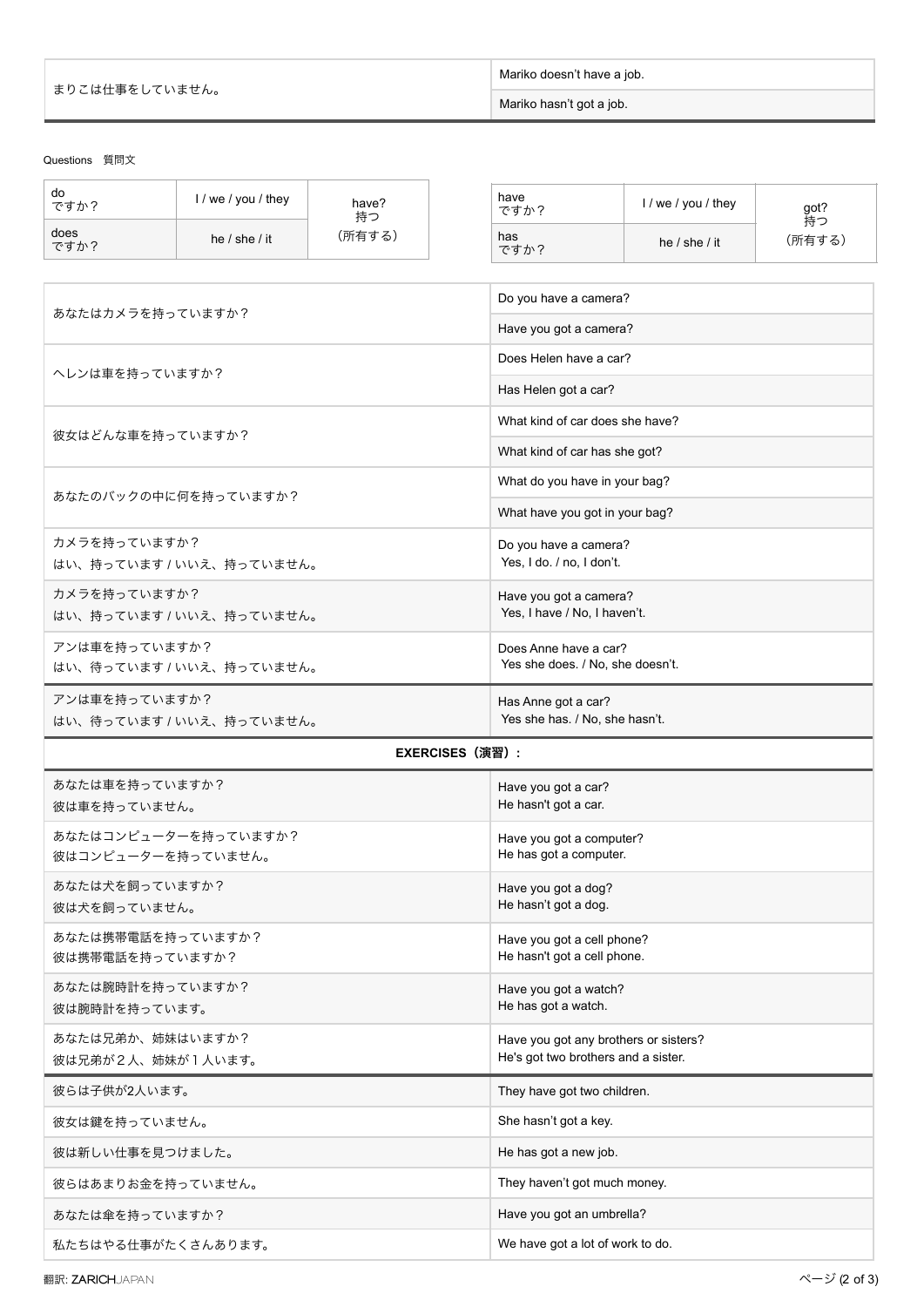| まりこは仕事をしていません。 | Mariko doesn't have a job. |  |
|----------------|----------------------------|--|
|                | Mariko hasn't got a job.   |  |

## Questions 質問文

| do<br>ですか?                                 | I / we / you / they      | have?<br>持つ |                                                                              | have<br>ですか?                     | I / we / you / they | got?         |
|--------------------------------------------|--------------------------|-------------|------------------------------------------------------------------------------|----------------------------------|---------------------|--------------|
| does<br>ですか?                               | he $/$ she $/$ it        | (所有する)      |                                                                              | has<br>ですか?                      | he $/$ she $/$ it   | 持つ<br>(所有する) |
|                                            |                          |             |                                                                              |                                  |                     |              |
| あなたはカメラを持っていますか?                           |                          |             | Do you have a camera?                                                        |                                  |                     |              |
|                                            |                          |             |                                                                              | Have you got a camera?           |                     |              |
| ヘレンは車を持っていますか?                             |                          |             |                                                                              | Does Helen have a car?           |                     |              |
|                                            |                          |             |                                                                              | Has Helen got a car?             |                     |              |
| 彼女はどんな車を持っていますか?                           |                          |             |                                                                              | What kind of car does she have?  |                     |              |
|                                            |                          |             |                                                                              | What kind of car has she got?    |                     |              |
|                                            | あなたのバックの中に何を持っていますか?     |             |                                                                              | What do you have in your bag?    |                     |              |
|                                            |                          |             |                                                                              | What have you got in your bag?   |                     |              |
| カメラを持っていますか?                               |                          |             |                                                                              | Do you have a camera?            |                     |              |
|                                            | はい、持っています / いいえ、持っていません。 |             |                                                                              | Yes, I do. / no, I don't.        |                     |              |
| カメラを持っていますか?<br>はい、持っています / いいえ、持っていません。   |                          |             | Have you got a camera?<br>Yes, I have / No, I haven't.                       |                                  |                     |              |
| アンは車を持っていますか?                              |                          |             |                                                                              | Does Anne have a car?            |                     |              |
|                                            | はい、待っています / いいえ、持っていません。 |             |                                                                              | Yes she does. / No, she doesn't. |                     |              |
| アンは車を持っていますか?                              |                          |             | Has Anne got a car?                                                          |                                  |                     |              |
| はい、待っています / いいえ、持っていません。                   |                          |             | Yes she has. / No, she hasn't.                                               |                                  |                     |              |
|                                            |                          |             | <b>EXERCISES (演習) :</b>                                                      |                                  |                     |              |
| あなたは車を持っていますか?<br>Have you got a car?      |                          |             |                                                                              |                                  |                     |              |
| 彼は車を持っていません。                               |                          |             |                                                                              | He hasn't got a car.             |                     |              |
| あなたはコンピューターを持っていますか?<br>彼はコンピューターを持っていません。 |                          |             | Have you got a computer?<br>He has got a computer.                           |                                  |                     |              |
| あなたは犬を飼っていますか?                             |                          |             | Have you got a dog?<br>He hasn't got a dog.                                  |                                  |                     |              |
| 彼は犬を飼っていません。                               |                          |             |                                                                              |                                  |                     |              |
| あなたは携帯電話を持っていますか?<br>彼は携帯電話を持っていますか?       |                          |             | Have you got a cell phone?<br>He hasn't got a cell phone.                    |                                  |                     |              |
| あなたは腕時計を持っていますか?<br>彼は腕時計を持っています。          |                          |             | Have you got a watch?<br>He has got a watch.                                 |                                  |                     |              |
| あなたは兄弟か、姉妹はいますか?<br>彼は兄弟が2人、姉妹が1人います。      |                          |             | Have you got any brothers or sisters?<br>He's got two brothers and a sister. |                                  |                     |              |
| 彼らは子供が2人います。                               |                          |             | They have got two children.                                                  |                                  |                     |              |
| 彼女は鍵を持っていません。                              |                          |             | She hasn't got a key.                                                        |                                  |                     |              |
| 彼は新しい仕事を見つけました。                            |                          |             | He has got a new job.                                                        |                                  |                     |              |
| 彼らはあまりお金を持っていません。                          |                          |             | They haven't got much money.                                                 |                                  |                     |              |
| あなたは傘を持っていますか?                             |                          |             | Have you got an umbrella?                                                    |                                  |                     |              |
| 私たちはやる仕事がたくさんあります。                         |                          |             | We have got a lot of work to do.                                             |                                  |                     |              |